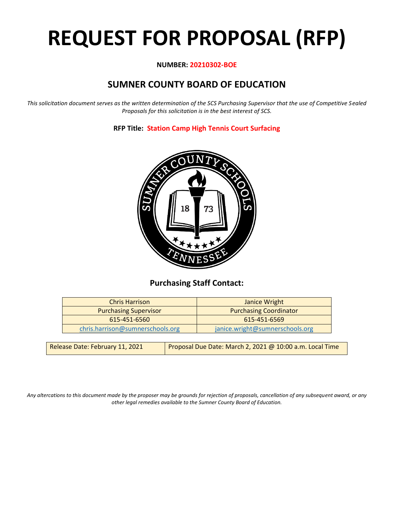# **REQUEST FOR PROPOSAL (RFP)**

# **NUMBER: 20210302-BOE**

# **SUMNER COUNTY BOARD OF EDUCATION**

*This solicitation document serves as the written determination of the SCS Purchasing Supervisor that the use of Competitive Sealed Proposals for this solicitation is in the best interest of SCS.*

**RFP Title: Station Camp High Tennis Court Surfacing**



# **Purchasing Staff Contact:**

| <b>Chris Harrison</b>            | Janice Wright                   |
|----------------------------------|---------------------------------|
| <b>Purchasing Supervisor</b>     | <b>Purchasing Coordinator</b>   |
| 615-451-6560                     | 615-451-6569                    |
| chris.harrison@sumnerschools.org | janice.wright@sumnerschools.org |
|                                  |                                 |

| Release Date: February 11, 2021 | Proposal Due Date: March 2, 2021 @ 10:00 a.m. Local Time |
|---------------------------------|----------------------------------------------------------|
|                                 |                                                          |

*Any altercations to this document made by the proposer may be grounds for rejection of proposals, cancellation of any subsequent award, or any other legal remedies available to the Sumner County Board of Education.*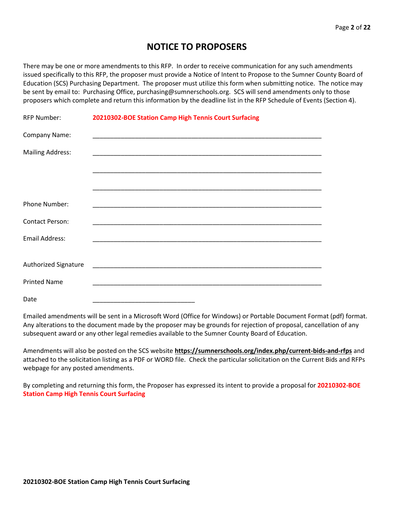# **NOTICE TO PROPOSERS**

There may be one or more amendments to this RFP. In order to receive communication for any such amendments issued specifically to this RFP, the proposer must provide a Notice of Intent to Propose to the Sumner County Board of Education (SCS) Purchasing Department. The proposer must utilize this form when submitting notice. The notice may be sent by email to: Purchasing Office, purchasing@sumnerschools.org. SCS will send amendments only to those proposers which complete and return this information by the deadline list in the RFP Schedule of Events (Section 4).

| <b>RFP Number:</b>      | 20210302-BOE Station Camp High Tennis Court Surfacing |
|-------------------------|-------------------------------------------------------|
| Company Name:           |                                                       |
| <b>Mailing Address:</b> |                                                       |
|                         |                                                       |
|                         |                                                       |
| Phone Number:           |                                                       |
| <b>Contact Person:</b>  |                                                       |
| <b>Email Address:</b>   |                                                       |
|                         |                                                       |
| Authorized Signature    |                                                       |
| <b>Printed Name</b>     |                                                       |
| Date                    |                                                       |

Emailed amendments will be sent in a Microsoft Word (Office for Windows) or Portable Document Format (pdf) format. Any alterations to the document made by the proposer may be grounds for rejection of proposal, cancellation of any subsequent award or any other legal remedies available to the Sumner County Board of Education.

Amendments will also be posted on the SCS website **https://sumnerschools.org/index.php/current-bids-and-rfps** and attached to the solicitation listing as a PDF or WORD file. Check the particular solicitation on the Current Bids and RFPs webpage for any posted amendments.

By completing and returning this form, the Proposer has expressed its intent to provide a proposal for **20210302-BOE Station Camp High Tennis Court Surfacing**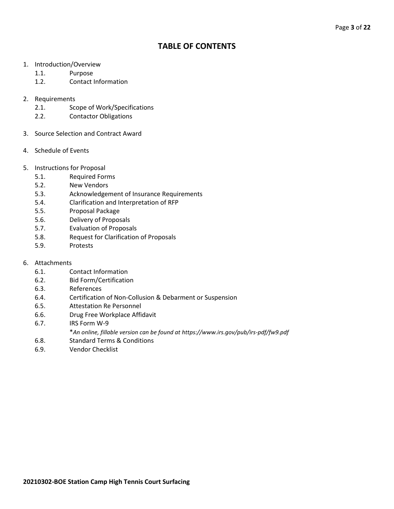# **TABLE OF CONTENTS**

- 1. Introduction/Overview
	- 1.1. Purpose
	- 1.2. Contact Information
- 2. Requirements
	- 2.1. Scope of Work/Specifications
	- 2.2. Contactor Obligations
- 3. Source Selection and Contract Award
- 4. Schedule of Events
- 5. Instructions for Proposal
	- 5.1. Required Forms
	- 5.2. New Vendors
	- 5.3. Acknowledgement of Insurance Requirements
	- 5.4. Clarification and Interpretation of RFP
	- 5.5. Proposal Package
	- 5.6. Delivery of Proposals
	- 5.7. Evaluation of Proposals
	- 5.8. Request for Clarification of Proposals
	- 5.9. Protests
- 6. Attachments
	- 6.1. Contact Information
	- 6.2. Bid Form/Certification
	- 6.3. References
	- 6.4. Certification of Non-Collusion & Debarment or Suspension
	- 6.5. Attestation Re Personnel
	- 6.6. Drug Free Workplace Affidavit
	- 6.7. IRS Form W-9
		- \**An online, fillable version can be found at https://www.irs.gov/pub/irs-pdf/fw9.pdf*
	- 6.8. Standard Terms & Conditions
	- 6.9. Vendor Checklist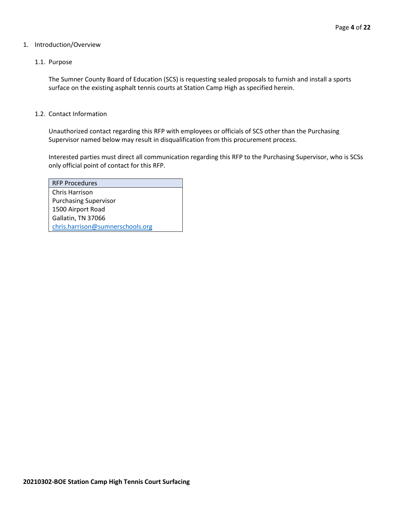#### 1. Introduction/Overview

## 1.1. Purpose

The Sumner County Board of Education (SCS) is requesting sealed proposals to furnish and install a sports surface on the existing asphalt tennis courts at Station Camp High as specified herein.

#### 1.2. Contact Information

Unauthorized contact regarding this RFP with employees or officials of SCS other than the Purchasing Supervisor named below may result in disqualification from this procurement process.

Interested parties must direct all communication regarding this RFP to the Purchasing Supervisor, who is SCSs only official point of contact for this RFP.

| <b>RFP Procedures</b>            |
|----------------------------------|
| Chris Harrison                   |
| <b>Purchasing Supervisor</b>     |
| 1500 Airport Road                |
| Gallatin, TN 37066               |
| chris.harrison@sumnerschools.org |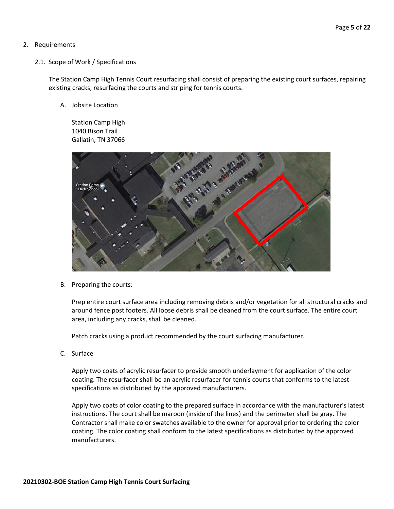# 2. Requirements

2.1. Scope of Work / Specifications

The Station Camp High Tennis Court resurfacing shall consist of preparing the existing court surfaces, repairing existing cracks, resurfacing the courts and striping for tennis courts.

A. Jobsite Location

Station Camp High 1040 Bison Trail Gallatin, TN 37066



B. Preparing the courts:

Prep entire court surface area including removing debris and/or vegetation for all structural cracks and around fence post footers. All loose debris shall be cleaned from the court surface. The entire court area, including any cracks, shall be cleaned.

Patch cracks using a product recommended by the court surfacing manufacturer.

C. Surface

Apply two coats of acrylic resurfacer to provide smooth underlayment for application of the color coating. The resurfacer shall be an acrylic resurfacer for tennis courts that conforms to the latest specifications as distributed by the approved manufacturers.

Apply two coats of color coating to the prepared surface in accordance with the manufacturer's latest instructions. The court shall be maroon (inside of the lines) and the perimeter shall be gray. The Contractor shall make color swatches available to the owner for approval prior to ordering the color coating. The color coating shall conform to the latest specifications as distributed by the approved manufacturers.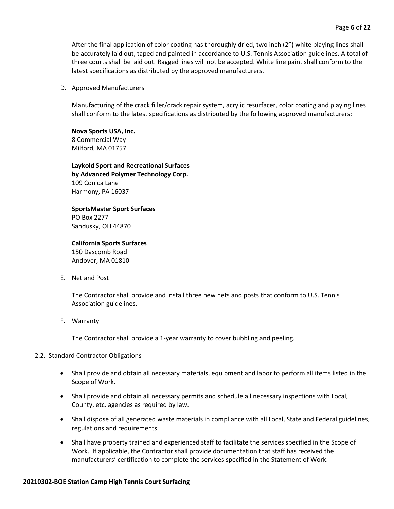After the final application of color coating has thoroughly dried, two inch (2") white playing lines shall be accurately laid out, taped and painted in accordance to U.S. Tennis Association guidelines. A total of three courts shall be laid out. Ragged lines will not be accepted. White line paint shall conform to the latest specifications as distributed by the approved manufacturers.

#### D. Approved Manufacturers

Manufacturing of the crack filler/crack repair system, acrylic resurfacer, color coating and playing lines shall conform to the latest specifications as distributed by the following approved manufacturers:

**Nova Sports USA, Inc.** 8 Commercial Way Milford, MA 01757

**Laykold Sport and Recreational Surfaces by Advanced Polymer Technology Corp.** 109 Conica Lane Harmony, PA 16037

**SportsMaster Sport Surfaces** PO Box 2277 Sandusky, OH 44870

**California Sports Surfaces** 150 Dascomb Road Andover, MA 01810

E. Net and Post

The Contractor shall provide and install three new nets and posts that conform to U.S. Tennis Association guidelines.

F. Warranty

The Contractor shall provide a 1-year warranty to cover bubbling and peeling.

# 2.2. Standard Contractor Obligations

- Shall provide and obtain all necessary materials, equipment and labor to perform all items listed in the Scope of Work.
- Shall provide and obtain all necessary permits and schedule all necessary inspections with Local, County, etc. agencies as required by law.
- Shall dispose of all generated waste materials in compliance with all Local, State and Federal guidelines, regulations and requirements.
- Shall have property trained and experienced staff to facilitate the services specified in the Scope of Work. If applicable, the Contractor shall provide documentation that staff has received the manufacturers' certification to complete the services specified in the Statement of Work.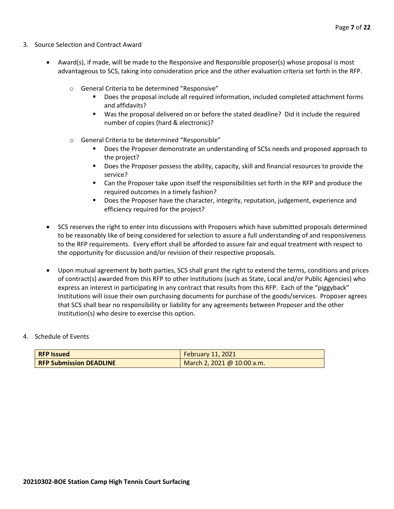- 3. Source Selection and Contract Award
	- Award(s), if made, will be made to the Responsive and Responsible proposer(s) whose proposal is most advantageous to SCS, taking into consideration price and the other evaluation criteria set forth in the RFP.
		- o General Criteria to be determined "Responsive"
			- Does the proposal include all required information, included completed attachment forms and affidavits?
			- Was the proposal delivered on or before the stated deadline? Did it include the required number of copies (hard & electronic)?
		- o General Criteria to be determined "Responsible"
			- Does the Proposer demonstrate an understanding of SCSs needs and proposed approach to the project?
			- Does the Proposer possess the ability, capacity, skill and financial resources to provide the service?
			- Can the Proposer take upon itself the responsibilities set forth in the RFP and produce the required outcomes in a timely fashion?
			- **■** Does the Proposer have the character, integrity, reputation, judgement, experience and efficiency required for the project?
	- SCS reserves the right to enter into discussions with Proposers which have submitted proposals determined to be reasonably like of being considered for selection to assure a full understanding of and responsiveness to the RFP requirements. Every effort shall be afforded to assure fair and equal treatment with respect to the opportunity for discussion and/or revision of their respective proposals.
	- Upon mutual agreement by both parties, SCS shall grant the right to extend the terms, conditions and prices of contract(s) awarded from this RFP to other Institutions (such as State, Local and/or Public Agencies) who express an interest in participating in any contract that results from this RFP. Each of the "piggyback" Institutions will issue their own purchasing documents for purchase of the goods/services. Proposer agrees that SCS shall bear no responsibility or liability for any agreements between Proposer and the other Institution(s) who desire to exercise this option.

#### 4. Schedule of Events

| <b>RFP Issued</b>              | February 11, 2021                        |
|--------------------------------|------------------------------------------|
| <b>RFP Submission DEADLINE</b> | $\frac{1}{2}$ March 2, 2021 @ 10:00 a.m. |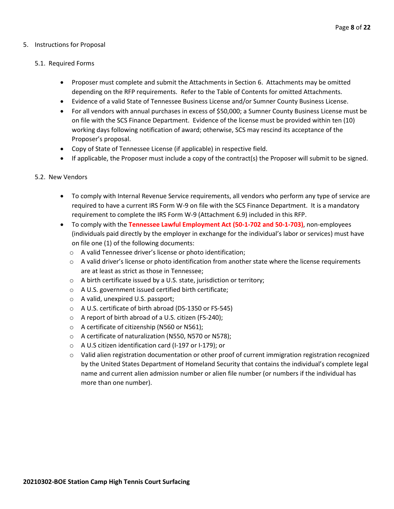# 5. Instructions for Proposal

#### 5.1. Required Forms

- Proposer must complete and submit the Attachments in Section 6. Attachments may be omitted depending on the RFP requirements. Refer to the Table of Contents for omitted Attachments.
- Evidence of a valid State of Tennessee Business License and/or Sumner County Business License.
- For all vendors with annual purchases in excess of \$50,000; a Sumner County Business License must be on file with the SCS Finance Department. Evidence of the license must be provided within ten (10) working days following notification of award; otherwise, SCS may rescind its acceptance of the Proposer's proposal.
- Copy of State of Tennessee License (if applicable) in respective field.
- If applicable, the Proposer must include a copy of the contract(s) the Proposer will submit to be signed.

#### 5.2. New Vendors

- To comply with Internal Revenue Service requirements, all vendors who perform any type of service are required to have a current IRS Form W-9 on file with the SCS Finance Department. It is a mandatory requirement to complete the IRS Form W-9 (Attachment 6.9) included in this RFP.
- To comply with the **Tennessee Lawful Employment Act (50-1-702 and 50-1-703)**, non-employees (individuals paid directly by the employer in exchange for the individual's labor or services) must have on file one (1) of the following documents:
	- o A valid Tennessee driver's license or photo identification;
	- $\circ$  A valid driver's license or photo identification from another state where the license requirements are at least as strict as those in Tennessee;
	- o A birth certificate issued by a U.S. state, jurisdiction or territory;
	- o A U.S. government issued certified birth certificate;
	- o A valid, unexpired U.S. passport;
	- o A U.S. certificate of birth abroad (DS-1350 or FS-545)
	- o A report of birth abroad of a U.S. citizen (FS-240);
	- o A certificate of citizenship (N560 or N561);
	- o A certificate of naturalization (N550, N570 or N578);
	- o A U.S citizen identification card (I-197 or I-179); or
	- $\circ$  Valid alien registration documentation or other proof of current immigration registration recognized by the United States Department of Homeland Security that contains the individual's complete legal name and current alien admission number or alien file number (or numbers if the individual has more than one number).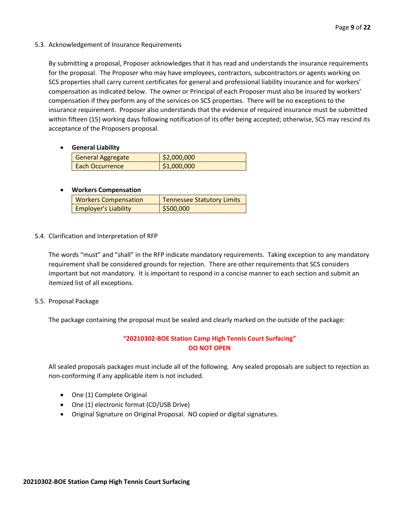# 5.3. Acknowledgement of Insurance Requirements

By submitting a proposal, Proposer acknowledges that it has read and understands the insurance requirements for the proposal. The Proposer who may have employees, contractors, subcontractors or agents working on SCS properties shall carry current certificates for general and professional liability insurance and for workers' compensation as indicated below. The owner or Principal of each Proposer must also be insured by workers' compensation if they perform any of the services on SCS properties. There will be no exceptions to the insurance requirement. Proposer also understands that the evidence of required insurance must be submitted within fifteen (15) working days following notification of its offer being accepted; otherwise, SCS may rescind its acceptance of the Proposers proposal.

# • **General Liability**

| <b>General Aggregate</b> | \$2,000,000 |
|--------------------------|-------------|
| Each Occurrence          | \$1,000,000 |

# • **Workers Compensation**

| <b>Workers Compensation</b> | <b>Tennessee Statutory Limits</b> |
|-----------------------------|-----------------------------------|
| <b>Employer's Liability</b> | \$500,000                         |

# 5.4. Clarification and Interpretation of RFP

The words "must" and "shall" in the RFP indicate mandatory requirements. Taking exception to any mandatory requirement shall be considered grounds for rejection. There are other requirements that SCS considers important but not mandatory. It is important to respond in a concise manner to each section and submit an itemized list of all exceptions.

# 5.5. Proposal Package

The package containing the proposal must be sealed and clearly marked on the outside of the package:

# **"20210302-BOE Station Camp High Tennis Court Surfacing" DO NOT OPEN**

All sealed proposals packages must include all of the following. Any sealed proposals are subject to rejection as non-conforming if any applicable item is not included.

- One (1) Complete Original
- One (1) electronic format (CD/USB Drive)
- Original Signature on Original Proposal. NO copied or digital signatures.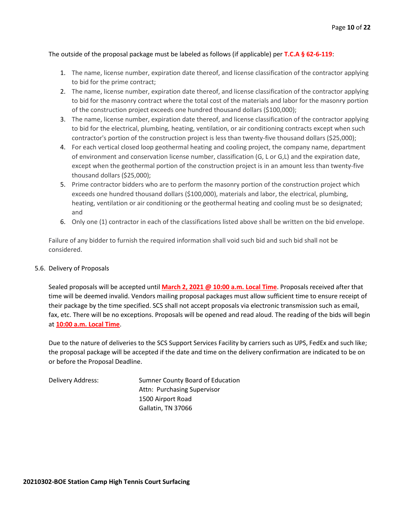# The outside of the proposal package must be labeled as follows (if applicable) per **T.C.A § 62-6-119**:

- 1. The name, license number, expiration date thereof, and license classification of the contractor applying to bid for the prime contract;
- 2. The name, license number, expiration date thereof, and license classification of the contractor applying to bid for the masonry contract where the total cost of the materials and labor for the masonry portion of the construction project exceeds one hundred thousand dollars (\$100,000);
- 3. The name, license number, expiration date thereof, and license classification of the contractor applying to bid for the electrical, plumbing, heating, ventilation, or air conditioning contracts except when such contractor's portion of the construction project is less than twenty-five thousand dollars (\$25,000);
- 4. For each vertical closed loop geothermal heating and cooling project, the company name, department of environment and conservation license number, classification (G, L or G,L) and the expiration date, except when the geothermal portion of the construction project is in an amount less than twenty-five thousand dollars (\$25,000);
- 5. Prime contractor bidders who are to perform the masonry portion of the construction project which exceeds one hundred thousand dollars (\$100,000), materials and labor, the electrical, plumbing, heating, ventilation or air conditioning or the geothermal heating and cooling must be so designated; and
- 6. Only one (1) contractor in each of the classifications listed above shall be written on the bid envelope.

Failure of any bidder to furnish the required information shall void such bid and such bid shall not be considered.

#### 5.6. Delivery of Proposals

Sealed proposals will be accepted until **March 2, 2021 @ 10:00 a.m. Local Time**. Proposals received after that time will be deemed invalid. Vendors mailing proposal packages must allow sufficient time to ensure receipt of their package by the time specified. SCS shall not accept proposals via electronic transmission such as email, fax, etc. There will be no exceptions. Proposals will be opened and read aloud. The reading of the bids will begin at **10:00 a.m. Local Time**.

Due to the nature of deliveries to the SCS Support Services Facility by carriers such as UPS, FedEx and such like; the proposal package will be accepted if the date and time on the delivery confirmation are indicated to be on or before the Proposal Deadline.

Delivery Address: Sumner County Board of Education Attn: Purchasing Supervisor 1500 Airport Road Gallatin, TN 37066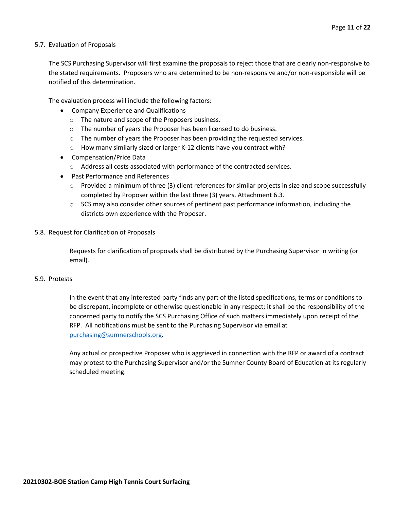#### 5.7. Evaluation of Proposals

The SCS Purchasing Supervisor will first examine the proposals to reject those that are clearly non-responsive to the stated requirements. Proposers who are determined to be non-responsive and/or non-responsible will be notified of this determination.

The evaluation process will include the following factors:

- Company Experience and Qualifications
	- o The nature and scope of the Proposers business.
	- $\circ$  The number of years the Proposer has been licensed to do business.
	- $\circ$  The number of years the Proposer has been providing the requested services.
	- o How many similarly sized or larger K-12 clients have you contract with?
- Compensation/Price Data
	- o Address all costs associated with performance of the contracted services.
- Past Performance and References
	- $\circ$  Provided a minimum of three (3) client references for similar projects in size and scope successfully completed by Proposer within the last three (3) years. Attachment 6.3.
	- $\circ$  SCS may also consider other sources of pertinent past performance information, including the districts own experience with the Proposer.
- 5.8. Request for Clarification of Proposals

Requests for clarification of proposals shall be distributed by the Purchasing Supervisor in writing (or email).

## 5.9. Protests

In the event that any interested party finds any part of the listed specifications, terms or conditions to be discrepant, incomplete or otherwise questionable in any respect; it shall be the responsibility of the concerned party to notify the SCS Purchasing Office of such matters immediately upon receipt of the RFP. All notifications must be sent to the Purchasing Supervisor via email at [purchasing@sumnerschools.org.](mailto:purchasing@sumnerschools.org)

Any actual or prospective Proposer who is aggrieved in connection with the RFP or award of a contract may protest to the Purchasing Supervisor and/or the Sumner County Board of Education at its regularly scheduled meeting.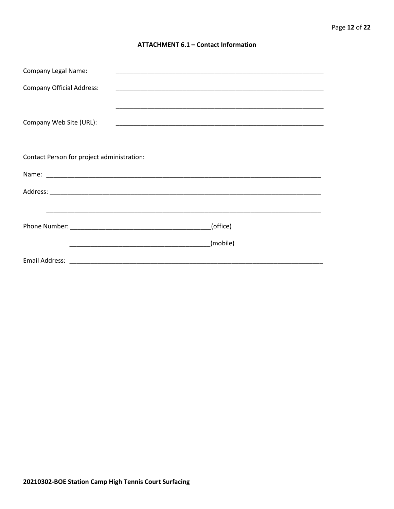## **ATTACHMENT 6.1 - Contact Information**

| <b>Company Legal Name:</b>                 |          |
|--------------------------------------------|----------|
| <b>Company Official Address:</b>           |          |
|                                            |          |
| Company Web Site (URL):                    |          |
|                                            |          |
|                                            |          |
| Contact Person for project administration: |          |
|                                            |          |
|                                            |          |
|                                            |          |
|                                            | (office) |
|                                            | (mobile) |
|                                            |          |
|                                            |          |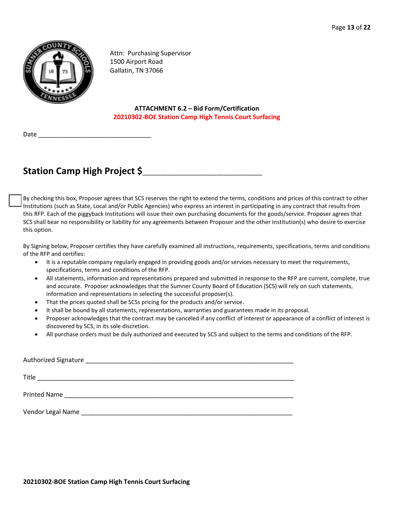

Attn: Purchasing Supervisor 1500 Airport Road Gallatin, TN 37066

**ATTACHMENT 6.2 – Bid Form/Certification 20210302-BOE Station Camp High Tennis Court Surfacing**

Date

# **Station Camp High Project \$**\_\_\_\_\_\_\_\_\_\_\_\_\_\_\_\_\_\_\_\_\_\_\_\_\_\_\_\_\_\_\_\_\_\_

By checking this box, Proposer agrees that SCS reserves the right to extend the terms, conditions and prices of this contract to other Institutions (such as State, Local and/or Public Agencies) who express an interest in participating in any contract that results from this RFP. Each of the piggyback Institutions will issue their own purchasing documents for the goods/service. Proposer agrees that SCS shall bear no responsibility or liability for any agreements between Proposer and the other Institution(s) who desire to exercise this option.

By Signing below, Proposer certifies they have carefully examined all instructions, requirements, specifications, terms and conditions of the RFP and certifies:

- It is a reputable company regularly engaged in providing goods and/or services necessary to meet the requirements, specifications, terms and conditions of the RFP.
- All statements, information and representations prepared and submitted in response to the RFP are current, complete, true and accurate. Proposer acknowledges that the Sumner County Board of Education (SCS) will rely on such statements, information and representations in selecting the successful proposer(s).
- That the prices quoted shall be SCSs pricing for the products and/or service.
- It shall be bound by all statements, representations, warranties and guarantees made in its proposal.
- Proposer acknowledges that the contract may be canceled if any conflict of interest or appearance of a conflict of interest is discovered by SCS, in its sole discretion.
- All purchase orders must be duly authorized and executed by SCS and subject to the terms and conditions of the RFP.

| Authorized Signature                                                                                             |
|------------------------------------------------------------------------------------------------------------------|
| Title<br><u> 1989 - Johann Stoff, Amerikaansk politiker († 1908)</u>                                             |
|                                                                                                                  |
| Vendor Legal Name Name and Service Communications of the Communication of the Communication of the Communication |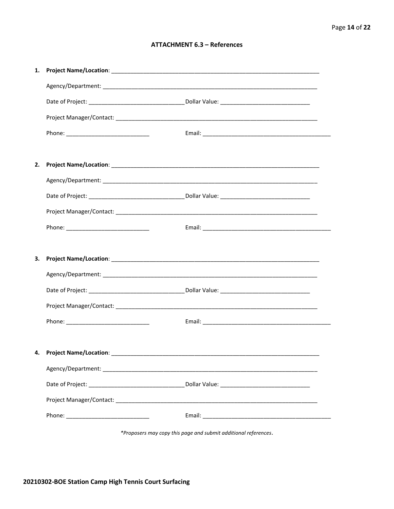# **ATTACHMENT 6.3 - References**

| 1. |                                     |  |
|----|-------------------------------------|--|
|    |                                     |  |
|    |                                     |  |
|    |                                     |  |
|    |                                     |  |
|    |                                     |  |
| 2. |                                     |  |
|    |                                     |  |
|    |                                     |  |
|    |                                     |  |
|    |                                     |  |
|    |                                     |  |
| З. |                                     |  |
|    |                                     |  |
|    |                                     |  |
|    |                                     |  |
|    |                                     |  |
|    |                                     |  |
|    |                                     |  |
|    | 4. Project Name/Location: _________ |  |
|    |                                     |  |
|    |                                     |  |
|    |                                     |  |
|    |                                     |  |

\*Proposers may copy this page and submit additional references.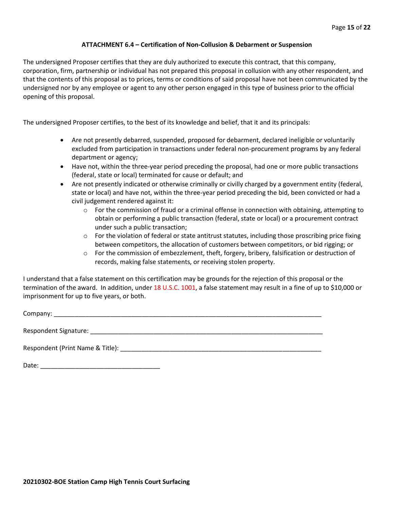## **ATTACHMENT 6.4 – Certification of Non-Collusion & Debarment or Suspension**

The undersigned Proposer certifies that they are duly authorized to execute this contract, that this company, corporation, firm, partnership or individual has not prepared this proposal in collusion with any other respondent, and that the contents of this proposal as to prices, terms or conditions of said proposal have not been communicated by the undersigned nor by any employee or agent to any other person engaged in this type of business prior to the official opening of this proposal.

The undersigned Proposer certifies, to the best of its knowledge and belief, that it and its principals:

- Are not presently debarred, suspended, proposed for debarment, declared ineligible or voluntarily excluded from participation in transactions under federal non-procurement programs by any federal department or agency;
- Have not, within the three-year period preceding the proposal, had one or more public transactions (federal, state or local) terminated for cause or default; and
- Are not presently indicated or otherwise criminally or civilly charged by a government entity (federal, state or local) and have not, within the three-year period preceding the bid, been convicted or had a civil judgement rendered against it:
	- $\circ$  For the commission of fraud or a criminal offense in connection with obtaining, attempting to obtain or performing a public transaction (federal, state or local) or a procurement contract under such a public transaction;
	- $\circ$  For the violation of federal or state antitrust statutes, including those proscribing price fixing between competitors, the allocation of customers between competitors, or bid rigging; or
	- o For the commission of embezzlement, theft, forgery, bribery, falsification or destruction of records, making false statements, or receiving stolen property.

I understand that a false statement on this certification may be grounds for the rejection of this proposal or the termination of the award. In addition, under 18 U.S.C. 1001, a false statement may result in a fine of up to \$10,000 or imprisonment for up to five years, or both.

Company: \_\_\_\_\_\_\_\_\_\_\_\_\_\_\_\_\_\_\_\_\_\_\_\_\_\_\_\_\_\_\_\_\_\_\_\_\_\_\_\_\_\_\_\_\_\_\_\_\_\_\_\_\_\_\_\_\_\_\_\_\_\_\_\_\_\_\_\_\_\_\_\_\_\_\_\_

Respondent Signature: \_\_\_\_\_\_\_\_\_\_\_\_\_\_\_\_\_\_\_\_\_\_\_\_\_\_\_\_\_\_\_\_\_\_\_\_\_\_\_\_\_\_\_\_\_\_\_\_\_\_\_\_\_\_\_\_\_\_\_\_\_\_\_\_\_\_

Respondent (Print Name & Title): \_\_\_\_\_\_\_\_\_\_\_\_\_\_\_\_\_\_\_\_\_\_\_\_\_\_\_\_\_\_\_\_\_\_\_\_\_\_\_\_\_\_\_\_\_\_\_\_\_\_\_\_\_\_\_\_\_

Date: \_\_\_\_\_\_\_\_\_\_\_\_\_\_\_\_\_\_\_\_\_\_\_\_\_\_\_\_\_\_\_\_\_\_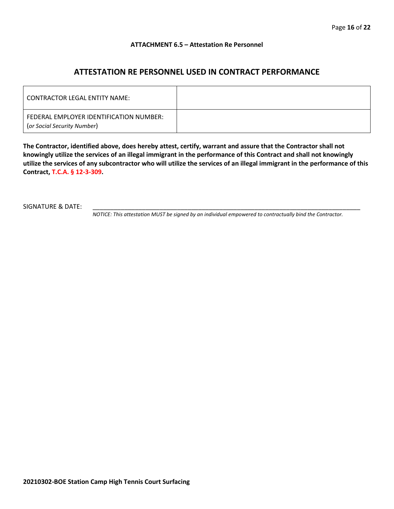#### **ATTACHMENT 6.5 – Attestation Re Personnel**

# **ATTESTATION RE PERSONNEL USED IN CONTRACT PERFORMANCE**

| CONTRACTOR LEGAL ENTITY NAME:                                          |  |
|------------------------------------------------------------------------|--|
| FEDERAL EMPLOYER IDENTIFICATION NUMBER:<br>(or Social Security Number) |  |

**The Contractor, identified above, does hereby attest, certify, warrant and assure that the Contractor shall not knowingly utilize the services of an illegal immigrant in the performance of this Contract and shall not knowingly utilize the services of any subcontractor who will utilize the services of an illegal immigrant in the performance of this Contract, T.C.A. § 12-3-309.**

SIGNATURE & DATE:

*NOTICE: This attestation MUST be signed by an individual empowered to contractually bind the Contractor.*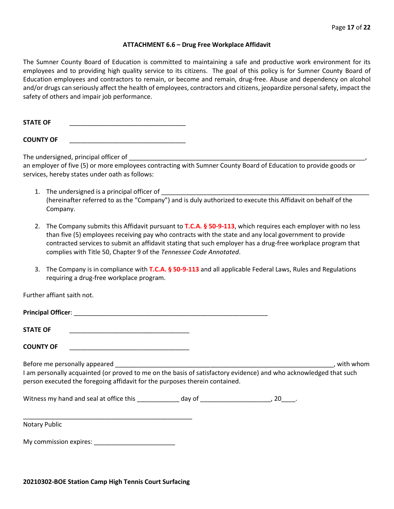#### **ATTACHMENT 6.6 – Drug Free Workplace Affidavit**

The Sumner County Board of Education is committed to maintaining a safe and productive work environment for its employees and to providing high quality service to its citizens. The goal of this policy is for Sumner County Board of Education employees and contractors to remain, or become and remain, drug-free. Abuse and dependency on alcohol and/or drugs can seriously affect the health of employees, contractors and citizens, jeopardize personal safety, impact the safety of others and impair job performance.

STATE OF

**COUNTY OF** \_\_\_\_\_\_\_\_\_\_\_\_\_\_\_\_\_\_\_\_\_\_\_\_\_\_\_\_\_\_\_\_\_

The undersigned, principal officer of

an employer of five (5) or more employees contracting with Sumner County Board of Education to provide goods or services, hereby states under oath as follows:

- 1. The undersigned is a principal officer of (hereinafter referred to as the "Company") and is duly authorized to execute this Affidavit on behalf of the Company.
- 2. The Company submits this Affidavit pursuant to **T.C.A. § 50-9-113**, which requires each employer with no less than five (5) employees receiving pay who contracts with the state and any local government to provide contracted services to submit an affidavit stating that such employer has a drug-free workplace program that complies with Title 50, Chapter 9 of the *Tennessee Code Annotated*.
- 3. The Company is in compliance with **T.C.A. § 50-9-113** and all applicable Federal Laws, Rules and Regulations requiring a drug-free workplace program.

Further affiant saith not.

| Principal Officer: |  |
|--------------------|--|
|                    |  |
| <b>STATE OF</b>    |  |

**COUNTY OF** \_\_\_\_\_\_\_\_\_\_\_\_\_\_\_\_\_\_\_\_\_\_\_\_\_\_\_\_\_\_\_\_\_\_

Before me personally appeared \_\_\_\_\_\_\_\_\_\_\_\_\_\_\_\_\_\_\_\_\_\_\_\_\_\_\_\_\_\_\_\_\_\_\_\_\_\_\_\_\_\_\_\_\_\_\_\_\_\_\_\_\_\_\_\_\_\_\_\_\_\_, with whom I am personally acquainted (or proved to me on the basis of satisfactory evidence) and who acknowledged that such person executed the foregoing affidavit for the purposes therein contained.

Witness my hand and seal at office this \_\_\_\_\_\_\_\_\_\_\_\_\_ day of \_\_\_\_\_\_\_\_\_\_\_\_\_\_\_\_\_\_\_\_\_, 20\_\_\_\_.

\_\_\_\_\_\_\_\_\_\_\_\_\_\_\_\_\_\_\_\_\_\_\_\_\_\_\_\_\_\_\_\_\_\_\_\_\_\_\_\_\_\_\_\_\_\_\_\_ Notary Public

My commission expires: \_\_\_\_\_\_\_\_\_\_\_\_\_\_\_\_\_\_\_\_\_\_\_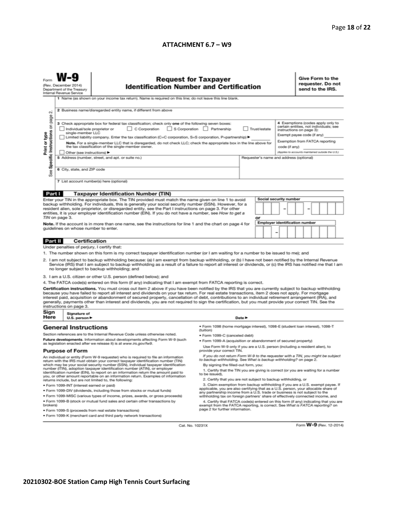#### **ATTACHMENT 6.7 – W9**

|                                                                                                                                                                                                                                                                                                                                                                                                                                                                                                                                                                                                                                                          | (Rev. December 2014)<br>Department of the Treasury<br>Internal Revenue Service                                                                                                                           | <b>Request for Taxpayer</b><br><b>Identification Number and Certification</b><br>1 Name (as shown on your income tax return). Name is required on this line; do not leave this line blank.                                                                                                                                       |                                                                                                                                                                                                        |  |   |  |                                                                                                      |                                                                                                                                       | Give Form to the<br>requester. Do not<br>send to the IRS. |  |  |  |  |
|----------------------------------------------------------------------------------------------------------------------------------------------------------------------------------------------------------------------------------------------------------------------------------------------------------------------------------------------------------------------------------------------------------------------------------------------------------------------------------------------------------------------------------------------------------------------------------------------------------------------------------------------------------|----------------------------------------------------------------------------------------------------------------------------------------------------------------------------------------------------------|----------------------------------------------------------------------------------------------------------------------------------------------------------------------------------------------------------------------------------------------------------------------------------------------------------------------------------|--------------------------------------------------------------------------------------------------------------------------------------------------------------------------------------------------------|--|---|--|------------------------------------------------------------------------------------------------------|---------------------------------------------------------------------------------------------------------------------------------------|-----------------------------------------------------------|--|--|--|--|
| $\sim$                                                                                                                                                                                                                                                                                                                                                                                                                                                                                                                                                                                                                                                   | 2 Business name/disregarded entity name, if different from above                                                                                                                                         |                                                                                                                                                                                                                                                                                                                                  |                                                                                                                                                                                                        |  |   |  |                                                                                                      |                                                                                                                                       |                                                           |  |  |  |  |
| Specific Instructions on page<br>Print or type<br>See                                                                                                                                                                                                                                                                                                                                                                                                                                                                                                                                                                                                    | single-member LLC                                                                                                                                                                                        | 3 Check appropriate box for federal tax classification; check only one of the following seven boxes:<br>C Corporation S Corporation Partnership<br>Individual/sole proprietor or<br>Limited liability company. Enter the tax classification (C=C corporation, S=S corporation, P=partnership) >                                  | Trust/estate                                                                                                                                                                                           |  |   |  |                                                                                                      | 4 Exemptions (codes apply only to<br>certain entities, not individuals; see<br>instructions on page 3):<br>Exempt payee code (if any) |                                                           |  |  |  |  |
|                                                                                                                                                                                                                                                                                                                                                                                                                                                                                                                                                                                                                                                          | Note. For a single-member LLC that is disregarded, do not check LLC; check the appropriate box in the line above for<br>the tax classification of the single-member owner.<br>Other (see instructions) ▶ |                                                                                                                                                                                                                                                                                                                                  |                                                                                                                                                                                                        |  |   |  | Exemption from FATCA reporting<br>code (if any)<br>(Applies to accounts maintained outside the U.S.) |                                                                                                                                       |                                                           |  |  |  |  |
|                                                                                                                                                                                                                                                                                                                                                                                                                                                                                                                                                                                                                                                          | 5 Address (number, street, and apt. or suite no.)<br>Requester's name and address (optional)<br>6 City, state, and ZIP code                                                                              |                                                                                                                                                                                                                                                                                                                                  |                                                                                                                                                                                                        |  |   |  |                                                                                                      |                                                                                                                                       |                                                           |  |  |  |  |
|                                                                                                                                                                                                                                                                                                                                                                                                                                                                                                                                                                                                                                                          | 7 List account number(s) here (optional)                                                                                                                                                                 |                                                                                                                                                                                                                                                                                                                                  |                                                                                                                                                                                                        |  |   |  |                                                                                                      |                                                                                                                                       |                                                           |  |  |  |  |
| Part I                                                                                                                                                                                                                                                                                                                                                                                                                                                                                                                                                                                                                                                   |                                                                                                                                                                                                          | <b>Taxpayer Identification Number (TIN)</b>                                                                                                                                                                                                                                                                                      |                                                                                                                                                                                                        |  |   |  |                                                                                                      |                                                                                                                                       |                                                           |  |  |  |  |
| <b>Social security number</b><br>Enter your TIN in the appropriate box. The TIN provided must match the name given on line 1 to avoid                                                                                                                                                                                                                                                                                                                                                                                                                                                                                                                    |                                                                                                                                                                                                          |                                                                                                                                                                                                                                                                                                                                  |                                                                                                                                                                                                        |  |   |  |                                                                                                      |                                                                                                                                       |                                                           |  |  |  |  |
|                                                                                                                                                                                                                                                                                                                                                                                                                                                                                                                                                                                                                                                          | TIN on page 3.                                                                                                                                                                                           | backup withholding. For individuals, this is generally your social security number (SSN). However, for a<br>resident alien, sole proprietor, or disregarded entity, see the Part I instructions on page 3. For other<br>entities, it is your employer identification number (EIN). If you do not have a number, see How to get a | or                                                                                                                                                                                                     |  |   |  |                                                                                                      |                                                                                                                                       |                                                           |  |  |  |  |
|                                                                                                                                                                                                                                                                                                                                                                                                                                                                                                                                                                                                                                                          |                                                                                                                                                                                                          | Note. If the account is in more than one name, see the instructions for line 1 and the chart on page 4 for                                                                                                                                                                                                                       |                                                                                                                                                                                                        |  |   |  |                                                                                                      | <b>Employer identification number</b>                                                                                                 |                                                           |  |  |  |  |
| guidelines on whose number to enter.                                                                                                                                                                                                                                                                                                                                                                                                                                                                                                                                                                                                                     |                                                                                                                                                                                                          |                                                                                                                                                                                                                                                                                                                                  |                                                                                                                                                                                                        |  | - |  |                                                                                                      |                                                                                                                                       |                                                           |  |  |  |  |
| Part II                                                                                                                                                                                                                                                                                                                                                                                                                                                                                                                                                                                                                                                  |                                                                                                                                                                                                          | Certification                                                                                                                                                                                                                                                                                                                    |                                                                                                                                                                                                        |  |   |  |                                                                                                      |                                                                                                                                       |                                                           |  |  |  |  |
| Under penalties of perjury, I certify that:                                                                                                                                                                                                                                                                                                                                                                                                                                                                                                                                                                                                              |                                                                                                                                                                                                          |                                                                                                                                                                                                                                                                                                                                  |                                                                                                                                                                                                        |  |   |  |                                                                                                      |                                                                                                                                       |                                                           |  |  |  |  |
| 1. The number shown on this form is my correct taxpayer identification number (or I am waiting for a number to be issued to me); and<br>2. I am not subject to backup withholding because: (a) I am exempt from backup withholding, or (b) I have not been notified by the Internal Revenue<br>Service (IRS) that I am subject to backup withholding as a result of a failure to report all interest or dividends, or (c) the IRS has notified me that I am<br>no longer subject to backup withholding; and                                                                                                                                              |                                                                                                                                                                                                          |                                                                                                                                                                                                                                                                                                                                  |                                                                                                                                                                                                        |  |   |  |                                                                                                      |                                                                                                                                       |                                                           |  |  |  |  |
| 3. I am a U.S. citizen or other U.S. person (defined below); and                                                                                                                                                                                                                                                                                                                                                                                                                                                                                                                                                                                         |                                                                                                                                                                                                          |                                                                                                                                                                                                                                                                                                                                  |                                                                                                                                                                                                        |  |   |  |                                                                                                      |                                                                                                                                       |                                                           |  |  |  |  |
| 4. The FATCA code(s) entered on this form (if any) indicating that I am exempt from FATCA reporting is correct.                                                                                                                                                                                                                                                                                                                                                                                                                                                                                                                                          |                                                                                                                                                                                                          |                                                                                                                                                                                                                                                                                                                                  |                                                                                                                                                                                                        |  |   |  |                                                                                                      |                                                                                                                                       |                                                           |  |  |  |  |
| Certification instructions. You must cross out item 2 above if you have been notified by the IRS that you are currently subject to backup withholding<br>because you have failed to report all interest and dividends on your tax return. For real estate transactions, item 2 does not apply. For mortgage<br>interest paid, acquisition or abandonment of secured property, cancellation of debt, contributions to an individual retirement arrangement (IRA), and<br>generally, payments other than interest and dividends, you are not required to sign the certification, but you must provide your correct TIN. See the<br>instructions on page 3. |                                                                                                                                                                                                          |                                                                                                                                                                                                                                                                                                                                  |                                                                                                                                                                                                        |  |   |  |                                                                                                      |                                                                                                                                       |                                                           |  |  |  |  |
| Sign<br>Here                                                                                                                                                                                                                                                                                                                                                                                                                                                                                                                                                                                                                                             | Signature of<br>U.S. person $\blacktriangleright$                                                                                                                                                        | Date P                                                                                                                                                                                                                                                                                                                           |                                                                                                                                                                                                        |  |   |  |                                                                                                      |                                                                                                                                       |                                                           |  |  |  |  |
|                                                                                                                                                                                                                                                                                                                                                                                                                                                                                                                                                                                                                                                          | <b>General Instructions</b>                                                                                                                                                                              | (tuition)<br>Section references are to the Internal Revenue Code unless otherwise noted.                                                                                                                                                                                                                                         | ● Form 1098 (home mortgage interest), 1098-E (student loan interest), 1098-T<br>· Form 1099-C (canceled debt)                                                                                          |  |   |  |                                                                                                      |                                                                                                                                       |                                                           |  |  |  |  |
|                                                                                                                                                                                                                                                                                                                                                                                                                                                                                                                                                                                                                                                          |                                                                                                                                                                                                          | Future developments. Information about developments affecting Form W-9 (such                                                                                                                                                                                                                                                     | . Form 1099-A (acquisition or abandonment of secured property)                                                                                                                                         |  |   |  |                                                                                                      |                                                                                                                                       |                                                           |  |  |  |  |
|                                                                                                                                                                                                                                                                                                                                                                                                                                                                                                                                                                                                                                                          | <b>Purpose of Form</b>                                                                                                                                                                                   | as legislation enacted after we release it) is at www.irs.gov/fw9.<br>provide your correct TIN.                                                                                                                                                                                                                                  | Use Form W-9 only if you are a U.S. person (including a resident alien), to                                                                                                                            |  |   |  |                                                                                                      |                                                                                                                                       |                                                           |  |  |  |  |
|                                                                                                                                                                                                                                                                                                                                                                                                                                                                                                                                                                                                                                                          |                                                                                                                                                                                                          | An individual or entity (Form W-9 requester) who is required to file an information<br>return with the IRS must obtain your correct taxpayer identification number (TIN)<br>which may be your social security number (SSN), individual taxpayer identification                                                                   | If you do not return Form W-9 to the requester with a TIN, you might be subject<br>to backup withholding. See What is backup withholding? on page 2.<br>By signing the filled-out form, you:           |  |   |  |                                                                                                      |                                                                                                                                       |                                                           |  |  |  |  |
|                                                                                                                                                                                                                                                                                                                                                                                                                                                                                                                                                                                                                                                          |                                                                                                                                                                                                          | number (ITIN), adoption taxpayer identification number (ATIN), or employer                                                                                                                                                                                                                                                       | 1. Certify that the TIN you are giving is correct (or you are waiting for a number                                                                                                                     |  |   |  |                                                                                                      |                                                                                                                                       |                                                           |  |  |  |  |
|                                                                                                                                                                                                                                                                                                                                                                                                                                                                                                                                                                                                                                                          |                                                                                                                                                                                                          | identification number (EIN), to report on an information return the amount paid to<br>to be issued).<br>you, or other amount reportable on an information return. Examples of information                                                                                                                                        | 2. Certify that you are not subject to backup withholding, or                                                                                                                                          |  |   |  |                                                                                                      |                                                                                                                                       |                                                           |  |  |  |  |
|                                                                                                                                                                                                                                                                                                                                                                                                                                                                                                                                                                                                                                                          |                                                                                                                                                                                                          | returns include, but are not limited to, the following:<br>· Form 1099-INT (interest earned or paid)                                                                                                                                                                                                                             | 3. Claim exemption from backup withholding if you are a U.S. exempt payee. If                                                                                                                          |  |   |  |                                                                                                      |                                                                                                                                       |                                                           |  |  |  |  |
|                                                                                                                                                                                                                                                                                                                                                                                                                                                                                                                                                                                                                                                          |                                                                                                                                                                                                          | . Form 1099-DIV (dividends, including those from stocks or mutual funds)                                                                                                                                                                                                                                                         | applicable, you are also certifying that as a U.S. person, your allocable share of<br>any partnership income from a U.S. trade or business is not subject to the                                       |  |   |  |                                                                                                      |                                                                                                                                       |                                                           |  |  |  |  |
|                                                                                                                                                                                                                                                                                                                                                                                                                                                                                                                                                                                                                                                          |                                                                                                                                                                                                          | * Form 1099-MISC (various types of income, prizes, awards, or gross proceeds)                                                                                                                                                                                                                                                    | withholding tax on foreign partners' share of effectively connected income, and                                                                                                                        |  |   |  |                                                                                                      |                                                                                                                                       |                                                           |  |  |  |  |
| brokers)                                                                                                                                                                                                                                                                                                                                                                                                                                                                                                                                                                                                                                                 |                                                                                                                                                                                                          | . Form 1099-B (stock or mutual fund sales and certain other transactions by<br>· Form 1099-S (proceeds from real estate transactions)                                                                                                                                                                                            | 4. Certify that FATCA code(s) entered on this form (if any) indicating that you are<br>exempt from the FATCA reporting, is correct. See What is FATCA reporting? on<br>page 2 for further information. |  |   |  |                                                                                                      |                                                                                                                                       |                                                           |  |  |  |  |
| . Form 1099-K (merchant card and third party network transactions)                                                                                                                                                                                                                                                                                                                                                                                                                                                                                                                                                                                       |                                                                                                                                                                                                          |                                                                                                                                                                                                                                                                                                                                  |                                                                                                                                                                                                        |  |   |  |                                                                                                      |                                                                                                                                       |                                                           |  |  |  |  |

Cat. No. 10231X

Form W-9 (Rev. 12-2014)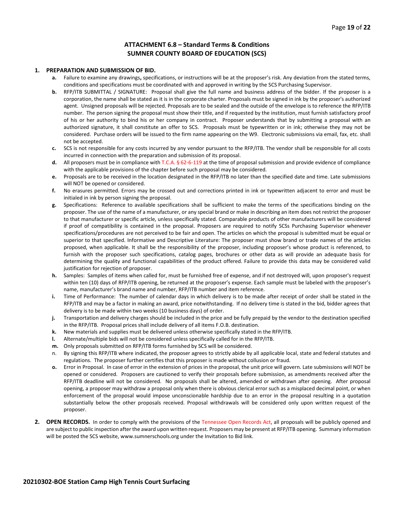#### **ATTACHMENT 6.8 – Standard Terms & Conditions SUMNER COUNTY BOARD OF EDUCATION (SCS)**

#### **1. PREPARATION AND SUBMISSION OF BID.**

- **a.** Failure to examine any drawings**,** specifications, or instructions will be at the proposer's risk. Any deviation from the stated terms, conditions and specifications must be coordinated with and approved in writing by the SCS Purchasing Supervisor.
- **b.** RFP/ITB SUBMITTAL / SIGNATURE: Proposal shall give the full name and business address of the bidder. If the proposer is a corporation, the name shall be stated as it is in the corporate charter. Proposals must be signed in ink by the proposer's authorized agent. Unsigned proposals will be rejected. Proposals are to be sealed and the outside of the envelope is to reference the RFP/ITB number. The person signing the proposal must show their title, and if requested by the institution, must furnish satisfactory proof of his or her authority to bind his or her company in contract. Proposer understands that by submitting a proposal with an authorized signature, it shall constitute an offer to SCS. Proposals must be typewritten or in ink; otherwise they may not be considered. Purchase orders will be issued to the firm name appearing on the W9. Electronic submissions via email, fax, etc. shall not be accepted.
- **c.** SCS is not responsible for any costs incurred by any vendor pursuant to the RFP/ITB. The vendor shall be responsible for all costs incurred in connection with the preparation and submission of its proposal.
- **d.** All proposers must be in compliance with T.C.A. § 62-6-119 at the time of proposal submission and provide evidence of compliance with the applicable provisions of the chapter before such proposal may be considered.
- **e.** Proposals are to be received in the location designated in the RFP/ITB no later than the specified date and time. Late submissions will NOT be opened or considered.
- **f.** No erasures permitted. Errors may be crossed out and corrections printed in ink or typewritten adjacent to error and must be initialed in ink by person signing the proposal.
- **g.** Specifications: Reference to available specifications shall be sufficient to make the terms of the specifications binding on the proposer. The use of the name of a manufacturer, or any special brand or make in describing an item does not restrict the proposer to that manufacturer or specific article, unless specifically stated. Comparable products of other manufacturers will be considered if proof of compatibility is contained in the proposal. Proposers are required to notify SCSs Purchasing Supervisor whenever specifications/procedures are not perceived to be fair and open. The articles on which the proposal is submitted must be equal or superior to that specified. Informative and Descriptive Literature: The proposer must show brand or trade names of the articles proposed, when applicable. It shall be the responsibility of the proposer, including proposer's whose product is referenced, to furnish with the proposer such specifications, catalog pages, brochures or other data as will provide an adequate basis for determining the quality and functional capabilities of the product offered. Failure to provide this data may be considered valid justification for rejection of proposer.
- **h.** Samples: Samples of items when called for, must be furnished free of expense, and if not destroyed will, upon proposer's request within ten (10) days of RFP/ITB opening, be returned at the proposer's expense. Each sample must be labeled with the proposer's name, manufacturer's brand name and number, RFP/ITB number and item reference.
- **i.** Time of Performance: The number of calendar days in which delivery is to be made after receipt of order shall be stated in the RFP/ITB and may be a factor in making an award, price notwithstanding. If no delivery time is stated in the bid, bidder agrees that delivery is to be made within two weeks (10 business days) of order.
- **j.** Transportation and delivery charges should be included in the price and be fully prepaid by the vendor to the destination specified in the RFP/ITB. Proposal prices shall include delivery of all items F.O.B. destination.
- **k.** New materials and supplies must be delivered unless otherwise specifically stated in the RFP/ITB.
- **l.** Alternate/multiple bids will not be considered unless specifically called for in the RFP/ITB.
- **m.** Only proposals submitted on RFP/ITB forms furnished by SCS will be considered.
- n. By signing this RFP/ITB where indicated, the proposer agrees to strictly abide by all applicable local, state and federal statutes and regulations. The proposer further certifies that this proposer is made without collusion or fraud.
- **o.** Error in Proposal. In case of error in the extension of prices in the proposal, the unit price will govern. Late submissions will NOT be opened or considered. Proposers are cautioned to verify their proposals before submission, as amendments received after the RFP/ITB deadline will not be considered. No proposals shall be altered, amended or withdrawn after opening. After proposal opening, a proposer may withdraw a proposal only when there is obvious clerical error such as a misplaced decimal point, or when enforcement of the proposal would impose unconscionable hardship due to an error in the proposal resulting in a quotation substantially below the other proposals received. Proposal withdrawals will be considered only upon written request of the proposer.
- **2. OPEN RECORDS.** In order to comply with the provisions of the Tennessee Open Records Act, all proposals will be publicly opened and are subject to public inspection after the award upon written request. Proposers may be present at RFP/ITB opening. Summary information will be posted the SCS website, www.sumnerschools.org under the Invitation to Bid link.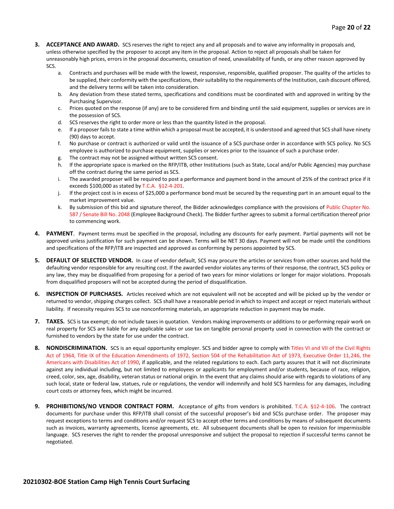- **3. ACCEPTANCE AND AWARD.** SCS reserves the right to reject any and all proposals and to waive any informality in proposals and, unless otherwise specified by the proposer to accept any item in the proposal. Action to reject all proposals shall be taken for unreasonably high prices, errors in the proposal documents, cessation of need, unavailability of funds, or any other reason approved by SCS.
	- a. Contracts and purchases will be made with the lowest, responsive, responsible, qualified proposer. The quality of the articles to be supplied, their conformity with the specifications, their suitability to the requirements of the Institution, cash discount offered, and the delivery terms will be taken into consideration.
	- b. Any deviation from these stated terms, specifications and conditions must be coordinated with and approved in writing by the Purchasing Supervisor.
	- c. Prices quoted on the response (if any) are to be considered firm and binding until the said equipment, supplies or services are in the possession of SCS.
	- d. SCS reserves the right to order more or less than the quantity listed in the proposal.
	- e. If a proposer fails to state a time within which a proposal must be accepted, it is understood and agreed that SCS shall have ninety (90) days to accept.
	- f. No purchase or contract is authorized or valid until the issuance of a SCS purchase order in accordance with SCS policy. No SCS employee is authorized to purchase equipment, supplies or services prior to the issuance of such a purchase order.
	- g. The contract may not be assigned without written SCS consent.
	- h. If the appropriate space is marked on the RFP/ITB, other Institutions (such as State, Local and/or Public Agencies) may purchase off the contract during the same period as SCS.
	- i. The awarded proposer will be required to post a performance and payment bond in the amount of 25% of the contract price if it exceeds \$100,000 as stated by T.C.A. §12-4-201.
	- j. If the project cost is in excess of \$25,000 a performance bond must be secured by the requesting part in an amount equal to the market improvement value.
	- k. By submission of this bid and signature thereof, the Bidder acknowledges compliance with the provisions of Public Chapter No. 587 / Senate Bill No. 2048 (Employee Background Check). The Bidder further agrees to submit a formal certification thereof prior to commencing work.
- **4. PAYMENT**. Payment terms must be specified in the proposal, including any discounts for early payment. Partial payments will not be approved unless justification for such payment can be shown. Terms will be NET 30 days. Payment will not be made until the conditions and specifications of the RFP/ITB are inspected and approved as conforming by persons appointed by SCS.
- **5. DEFAULT OF SELECTED VENDOR.** In case of vendor default, SCS may procure the articles or services from other sources and hold the defaulting vendor responsible for any resulting cost. If the awarded vendor violates any terms of their response, the contract, SCS policy or any law, they may be disqualified from proposing for a period of two years for minor violations or longer for major violations. Proposals from disqualified proposers will not be accepted during the period of disqualification.
- **6. INSPECTION OF PURCHASES.** Articles received which are not equivalent will not be accepted and will be picked up by the vendor or returned to vendor, shipping charges collect. SCS shall have a reasonable period in which to inspect and accept or reject materials without liability. If necessity requires SCS to use nonconforming materials, an appropriate reduction in payment may be made.
- **7. TAXES.** SCS is tax exempt; do not include taxes in quotation. Vendors making improvements or additions to or performing repair work on real property for SCS are liable for any applicable sales or use tax on tangible personal property used in connection with the contract or furnished to vendors by the state for use under the contract.
- **8. NONDISCRIMINATION.** SCS is an equal opportunity employer. SCS and bidder agree to comply with Titles VI and VII of the Civil Rights Act of 1964, Title IX of the Education Amendments of 1972, Section 504 of the Rehabilitation Act of 1973, Executive Order 11,246, the Americans with Disabilities Act of 1990, if applicable, and the related regulations to each. Each party assures that it will not discriminate against any individual including, but not limited to employees or applicants for employment and/or students, because of race, religion, creed, color, sex, age, disability, veteran status or national origin. In the event that any claims should arise with regards to violations of any such local, state or federal law, statues, rule or regulations, the vendor will indemnify and hold SCS harmless for any damages, including court costs or attorney fees, which might be incurred.
- **9. PROHIBITIONS/NO VENDOR CONTRACT FORM.** Acceptance of gifts from vendors is prohibited. T.C.A. §12-4-106. The contract documents for purchase under this RFP/ITB shall consist of the successful proposer's bid and SCSs purchase order. The proposer may request exceptions to terms and conditions and/or request SCS to accept other terms and conditions by means of subsequent documents such as invoices, warranty agreements, license agreements, etc. All subsequent documents shall be open to revision for impermissible language. SCS reserves the right to render the proposal unresponsive and subject the proposal to rejection if successful terms cannot be negotiated.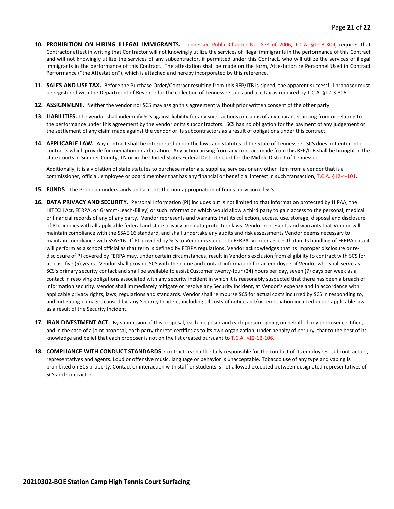- **10. PROHIBITION ON HIRING ILLEGAL IMMIGRANTS.** Tennessee Public Chapter No. 878 of 2006, T.C.A. §12-3-309, requires that Contractor attest in writing that Contractor will not knowingly utilize the services of illegal immigrants in the performance of this Contract and will not knowingly utilize the services of any subcontractor, if permitted under this Contract, who will utilize the services of illegal immigrants in the performance of this Contract. The attestation shall be made on the form, Attestation re Personnel Used in Contract Performance ("the Attestation"), which is attached and hereby incorporated by this reference.
- **11. SALES AND USE TAX.** Before the Purchase Order/Contract resulting from this RFP/ITB is signed, the apparent successful proposer must be registered with the Department of Revenue for the collection of Tennessee sales and use tax as required by T.C.A. §12-3-306.
- **12. ASSIGNMENT.** Neither the vendor nor SCS may assign this agreement without prior written consent of the other party.
- **13. LIABILITIES.** The vendor shall indemnify SCS against liability for any suits, actions or claims of any character arising from or relating to the performance under this agreement by the vendor or its subcontractors. SCS has no obligation for the payment of any judgement or the settlement of any claim made against the vendor or its subcontractors as a result of obligations under this contract.
- **14. APPLICABLE LAW.** Any contract shall be interpreted under the laws and statutes of the State of Tennessee. SCS does not enter into contracts which provide for mediation or arbitration. Any action arising from any contract made from this RFP/ITB shall be brought in the state courts in Sumner County, TN or in the United States Federal District Court for the Middle District of Tennessee.

Additionally, it is a violation of state statutes to purchase materials, supplies, services or any other item from a vendor that is a commissioner, official, employee or board member that has any financial or beneficial interest in such transaction, T.C.A. §12-4-101.

- **15. FUNDS**. The Proposer understands and accepts the non-appropriation of funds provision of SCS.
- **16. DATA PRIVACY AND SECURITY**. Personal Information (PI) includes but is not limited to that information protected by HIPAA, the HITECH Act, FERPA, or Gramm-Leach-Bliley) or such information which would allow a third party to gain access to the personal, medical or financial records of any of any party. Vendor represents and warrants that its collection, access, use, storage, disposal and disclosure of PI complies with all applicable federal and state privacy and data protection laws. Vendor represents and warrants that Vendor will maintain compliance with the SSAE 16 standard, and shall undertake any audits and risk assessments Vendor deems necessary to maintain compliance with SSAE16. If PI provided by SCS to Vendor is subject to FERPA. Vendor agrees that in its handling of FERPA data it will perform as a school official as that term is defined by FERPA regulations. Vendor acknowledges that its improper disclosure or redisclosure of PI covered by FERPA may, under certain circumstances, result in Vendor's exclusion from eligibility to contract with SCS for at least five (5) years. Vendor shall provide SCS with the name and contact information for an employee of Vendor who shall serve as SCS's primary security contact and shall be available to assist Customer twenty-four (24) hours per day, seven (7) days per week as a contact in resolving obligations associated with any security incident in which it is reasonably suspected that there has been a breach of information security. Vendor shall immediately mitigate or resolve any Security Incident, at Vendor's expense and in accordance with applicable privacy rights, laws, regulations and standards. Vendor shall reimburse SCS for actual costs incurred by SCS in responding to, and mitigating damages caused by, any Security Incident, including all costs of notice and/or remediation incurred under applicable law as a result of the Security Incident.
- **17. IRAN DIVESTMENT ACT.** By submission of this proposal, each proposer and each person signing on behalf of any proposer certified, and in the case of a joint proposal, each party thereto certifies as to its own organization, under penalty of perjury, that to the best of its knowledge and belief that each proposer is not on the list created pursuant to T.C.A. §12-12-106.
- **18. COMPLIANCE WITH CONDUCT STANDARDS**. Contractors shall be fully responsible for the conduct of its employees, subcontractors, representatives and agents. Loud or offensive music, language or behavior is unacceptable. Tobacco use of any type and vaping is prohibited on SCS property. Contact or interaction with staff or students is not allowed excepted between designated representatives of SCS and Contractor.